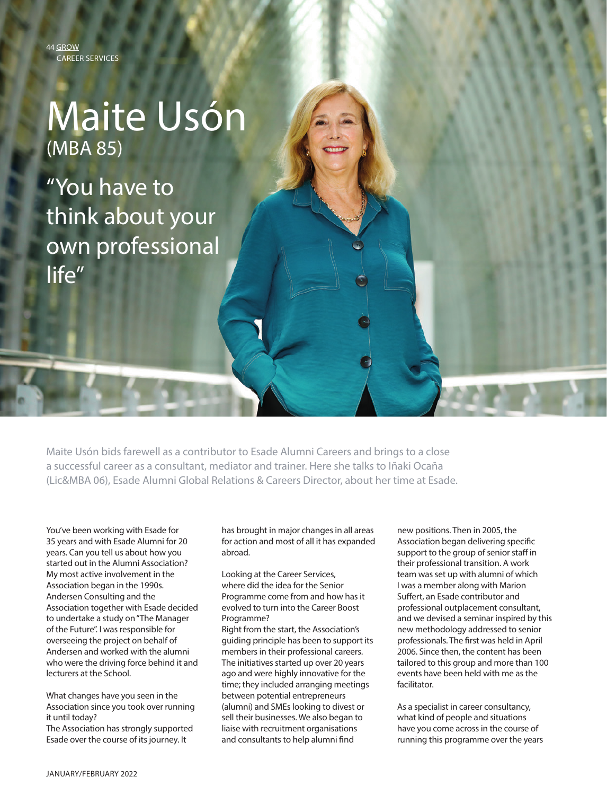44 GROW CAREER SERVICES

## Maite Usón (MBA 85)

"You have to think about your own professional life"

Maite Usón bids farewell as a contributor to Esade Alumni Careers and brings to a close a successful career as a consultant, mediator and trainer. Here she talks to Iñaki Ocaña (Lic&MBA 06), Esade Alumni Global Relations & Careers Director, about her time at Esade.

You've been working with Esade for 35 years and with Esade Alumni for 20 years. Can you tell us about how you started out in the Alumni Association? My most active involvement in the Association began in the 1990s. Andersen Consulting and the Association together with Esade decided to undertake a study on "The Manager of the Future". I was responsible for overseeing the project on behalf of Andersen and worked with the alumni who were the driving force behind it and lecturers at the School.

What changes have you seen in the Association since you took over running it until today? The Association has strongly supported

Esade over the course of its journey. It

has brought in major changes in all areas for action and most of all it has expanded abroad.

Looking at the Career Services, where did the idea for the Senior Programme come from and how has it evolved to turn into the Career Boost Programme?

Right from the start, the Association's guiding principle has been to support its members in their professional careers. The initiatives started up over 20 years ago and were highly innovative for the time; they included arranging meetings between potential entrepreneurs (alumni) and SMEs looking to divest or sell their businesses. We also began to liaise with recruitment organisations and consultants to help alumni find

new positions. Then in 2005, the Association began delivering specific support to the group of senior staff in their professional transition. A work team was set up with alumni of which I was a member along with Marion Suffert, an Esade contributor and professional outplacement consultant, and we devised a seminar inspired by this new methodology addressed to senior professionals. The first was held in April 2006. Since then, the content has been tailored to this group and more than 100 events have been held with me as the facilitator.

As a specialist in career consultancy, what kind of people and situations have you come across in the course of running this programme over the years